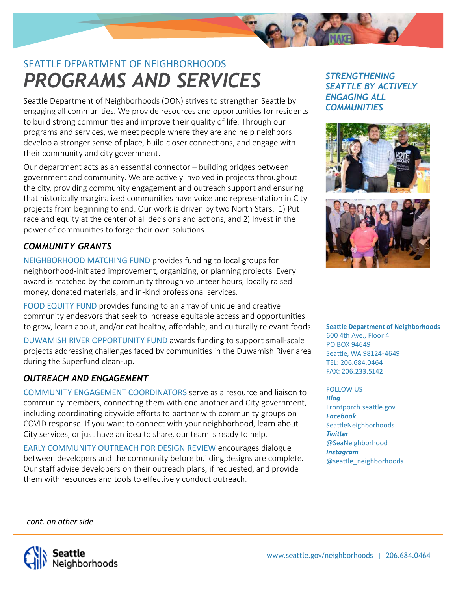

# *PROGRAMS AND SERVICES* SEATTLE DEPARTMENT OF NEIGHBORHOODS

Seattle Department of Neighborhoods (DON) strives to strengthen Seattle by engaging all communities. We provide resources and opportunities for residents to build strong communities and improve their quality of life. Through our programs and services, we meet people where they are and help neighbors develop a stronger sense of place, build closer connections, and engage with their community and city government.

Our department acts as an essential connector – building bridges between government and community. We are actively involved in projects throughout the city, providing community engagement and outreach support and ensuring that historically marginalized communities have voice and representation in City projects from beginning to end. Our work is driven by two North Stars: 1) Put race and equity at the center of all decisions and actions, and 2) Invest in the power of communities to forge their own solutions.

# *COMMUNITY GRANTS*

NEIGHBORHOOD MATCHING FUND provides funding to local groups for neighborhood-initiated improvement, organizing, or planning projects. Every award is matched by the community through volunteer hours, locally raised money, donated materials, and in-kind professional services.

FOOD EQUITY FUND provides funding to an array of unique and creative community endeavors that seek to increase equitable access and opportunities to grow, learn about, and/or eat healthy, affordable, and culturally relevant foods.

DUWAMISH RIVER OPPORTUNITY FUND awards funding to support small-scale projects addressing challenges faced by communities in the Duwamish River area during the Superfund clean-up.

# *OUTREACH AND ENGAGEMENT*

COMMUNITY ENGAGEMENT COORDINATORS serve as a resource and liaison to community members, connecting them with one another and City government, including coordinating citywide efforts to partner with community groups on COVID response. If you want to connect with your neighborhood, learn about City services, or just have an idea to share, our team is ready to help.

EARLY COMMUNITY OUTREACH FOR DESIGN REVIEW encourages dialogue between developers and the community before building designs are complete. Our staff advise developers on their outreach plans, if requested, and provide them with resources and tools to effectively conduct outreach.

#### *STRENGTHENING SEATTLE BY ACTIVELY ENGAGING ALL COMMUNITIES*





**Seattle Department of Neighborhoods** 600 4th Ave., Floor 4 PO BOX 94649 Seattle, WA 98124-4649 TEL: 206.684.0464 FAX: 206.233.5142

FOLLOW US *Blog* Frontporch.seattle.gov *Facebook* SeattleNeighborhoods **Twitter** @SeaNeighborhood *Instagram* @seattle\_neighborhoods

*cont. on other side*

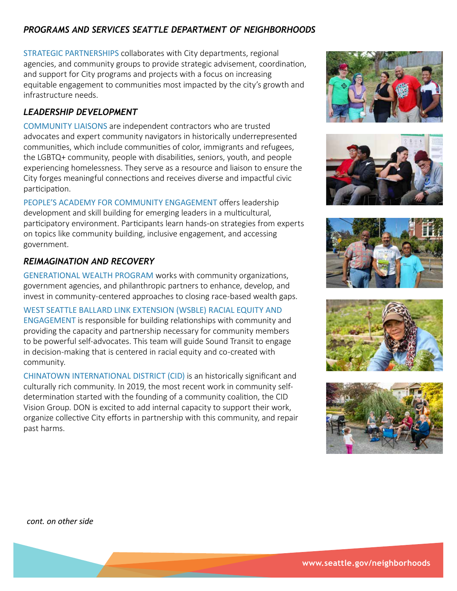### *PROGRAMS AND SERVICES SEATTLE DEPARTMENT OF NEIGHBORHOODS*

STRATEGIC PARTNERSHIPS collaborates with City departments, regional agencies, and community groups to provide strategic advisement, coordination, and support for City programs and projects with a focus on increasing equitable engagement to communities most impacted by the city's growth and infrastructure needs.

### *LEADERSHIP DEVELOPMENT*

COMMUNITY LIAISONS are independent contractors who are trusted advocates and expert community navigators in historically underrepresented communities, which include communities of color, immigrants and refugees, the LGBTQ+ community, people with disabilities, seniors, youth, and people experiencing homelessness. They serve as a resource and liaison to ensure the City forges meaningful connections and receives diverse and impactful civic participation.

PEOPLE'S ACADEMY FOR COMMUNITY ENGAGEMENT offers leadership development and skill building for emerging leaders in a multicultural, participatory environment. Participants learn hands-on strategies from experts on topics like community building, inclusive engagement, and accessing government.

#### *REIMAGINATION AND RECOVERY*

GENERATIONAL WEALTH PROGRAM works with community organizations, government agencies, and philanthropic partners to enhance, develop, and invest in community-centered approaches to closing race-based wealth gaps.

WEST SEATTLE BALLARD LINK EXTENSION (WSBLE) RACIAL EQUITY AND ENGAGEMENT is responsible for building relationships with community and providing the capacity and partnership necessary for community members to be powerful self-advocates. This team will guide Sound Transit to engage in decision-making that is centered in racial equity and co-created with community.

CHINATOWN INTERNATIONAL DISTRICT (CID) is an historically significant and culturally rich community. In 2019, the most recent work in community selfdetermination started with the founding of a community coalition, the CID Vision Group. DON is excited to add internal capacity to support their work, organize collective City efforts in partnership with this community, and repair past harms.











*cont. on other side*